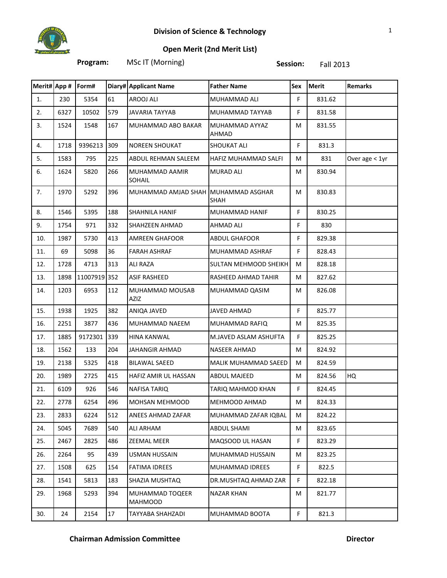

**Program:** MSc IT (Morning) **Session:** Fall 2013

| Merit# App # Form# |      |              |     | Diary# Applicant Name               | <b>Father Name</b>          | Sex | <b>Merit</b> | <b>Remarks</b>   |
|--------------------|------|--------------|-----|-------------------------------------|-----------------------------|-----|--------------|------------------|
| 1.                 | 230  | 5354         | 61  | AROOJ ALI                           | MUHAMMAD ALI                | F   | 831.62       |                  |
| 2.                 | 6327 | 10502        | 579 | <b>JAVARIA TAYYAB</b>               | MUHAMMAD TAYYAB             | F   | 831.58       |                  |
| 3.                 | 1524 | 1548         | 167 | MUHAMMAD ABO BAKAR                  | MUHAMMAD AYYAZ<br>AHMAD     | М   | 831.55       |                  |
| 4.                 | 1718 | 9396213      | 309 | <b>NOREEN SHOUKAT</b>               | <b>SHOUKAT ALI</b>          | F   | 831.3        |                  |
| 5.                 | 1583 | 795          | 225 | ABDUL REHMAN SALEEM                 | HAFIZ MUHAMMAD SALFI        | М   | 831          | Over age $<$ 1yr |
| 6.                 | 1624 | 5820         | 266 | MUHAMMAD AAMIR<br><b>SOHAIL</b>     | <b>MURAD ALI</b>            | М   | 830.94       |                  |
| 7.                 | 1970 | 5292         | 396 | MUHAMMAD AMJAD SHAH MUHAMMAD ASGHAR | SHAH                        | M   | 830.83       |                  |
| 8.                 | 1546 | 5395         | 188 | <b>SHAHNILA HANIF</b>               | <b>MUHAMMAD HANIF</b>       | F   | 830.25       |                  |
| 9.                 | 1754 | 971          | 332 | SHAHZEEN AHMAD                      | <b>AHMAD ALI</b>            | F   | 830          |                  |
| 10.                | 1987 | 5730         | 413 | <b>AMREEN GHAFOOR</b>               | <b>ABDUL GHAFOOR</b>        | F   | 829.38       |                  |
| 11.                | 69   | 5098         | 36  | <b>FARAH ASHRAF</b>                 | MUHAMMAD ASHRAF             | F   | 828.43       |                  |
| 12.                | 1728 | 4713         | 313 | <b>ALI RAZA</b>                     | SULTAN MEHMOOD SHEIKH       | M   | 828.18       |                  |
| 13.                | 1898 | 11007919 352 |     | <b>ASIF RASHEED</b>                 | RASHEED AHMAD TAHIR         | M   | 827.62       |                  |
| 14.                | 1203 | 6953         | 112 | MUHAMMAD MOUSAB<br>AZIZ             | MUHAMMAD QASIM              | M   | 826.08       |                  |
| 15.                | 1938 | 1925         | 382 | ANIQA JAVED                         | <b>JAVED AHMAD</b>          | F.  | 825.77       |                  |
| 16.                | 2251 | 3877         | 436 | MUHAMMAD NAEEM                      | MUHAMMAD RAFIQ              | М   | 825.35       |                  |
| 17.                | 1885 | 9172301      | 339 | <b>HINA KANWAL</b>                  | M.JAVED ASLAM ASHUFTA       | F   | 825.25       |                  |
| 18.                | 1562 | 133          | 204 | JAHANGIR AHMAD                      | <b>NASEER AHMAD</b>         | M   | 824.92       |                  |
| 19.                | 2138 | 5325         | 418 | <b>BILAWAL SAEED</b>                | <b>MALIK MUHAMMAD SAEED</b> | M   | 824.59       |                  |
| 20.                | 1989 | 2725         | 415 | HAFIZ AMIR UL HASSAN                | <b>ABDUL MAJEED</b>         | M   | 824.56       | HQ               |
| 21.                | 6109 | 926          | 546 | NAFISA TARIQ                        | TARIQ MAHMOD KHAN           | F   | 824.45       |                  |
| 22.                | 2778 | 6254         | 496 | MOHSAN MEHMOOD                      | MEHMOOD AHMAD               | M   | 824.33       |                  |
| 23.                | 2833 | 6224         | 512 | ANEES AHMAD ZAFAR                   | MUHAMMAD ZAFAR IQBAL        | М   | 824.22       |                  |
| 24.                | 5045 | 7689         | 540 | ALI ARHAM                           | <b>ABDUL SHAMI</b>          | М   | 823.65       |                  |
| 25.                | 2467 | 2825         | 486 | ZEEMAL MEER                         | MAQSOOD UL HASAN            | F   | 823.29       |                  |
| 26.                | 2264 | 95           | 439 | <b>USMAN HUSSAIN</b>                | MUHAMMAD HUSSAIN            | М   | 823.25       |                  |
| 27.                | 1508 | 625          | 154 | <b>FATIMA IDREES</b>                | MUHAMMAD IDREES             | F   | 822.5        |                  |
| 28.                | 1541 | 5813         | 183 | SHAZIA MUSHTAQ                      | DR.MUSHTAQ AHMAD ZAR        | F.  | 822.18       |                  |
| 29.                | 1968 | 5293         | 394 | MUHAMMAD TOQEER<br><b>MAHMOOD</b>   | NAZAR KHAN                  | М   | 821.77       |                  |
| 30.                | 24   | 2154         | 17  | TAYYABA SHAHZADI                    | MUHAMMAD BOOTA              | F   | 821.3        |                  |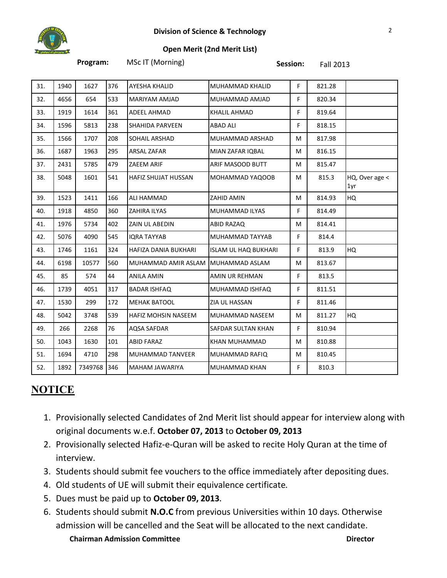

**Program:** MSc IT (Morning) **Session:** Fall 2013

| 31. | 1940 | 1627    | 376 | AYESHA KHALID           | MUHAMMAD KHALID             | F  | 821.28 |                       |
|-----|------|---------|-----|-------------------------|-----------------------------|----|--------|-----------------------|
| 32. | 4656 | 654     | 533 | MARIYAM AMJAD           | MUHAMMAD AMJAD              | F  | 820.34 |                       |
| 33. | 1919 | 1614    | 361 | <b>ADEEL AHMAD</b>      | <b>KHALIL AHMAD</b>         | F  | 819.64 |                       |
| 34. | 1596 | 5813    | 238 | <b>SHAHIDA PARVEEN</b>  | <b>ABAD ALI</b>             | F  | 818.15 |                       |
| 35. | 1566 | 1707    | 208 | SOHAIL ARSHAD           | MUHAMMAD ARSHAD             | M  | 817.98 |                       |
| 36. | 1687 | 1963    | 295 | <b>ARSAL ZAFAR</b>      | MIAN ZAFAR IQBAL            | M  | 816.15 |                       |
| 37. | 2431 | 5785    | 479 | ZAEEM ARIF              | ARIF MASOOD BUTT            | M  | 815.47 |                       |
| 38. | 5048 | 1601    | 541 | HAFIZ SHUJAT HUSSAN     | MOHAMMAD YAQOOB             | M  | 815.3  | HQ, Over age <<br>1yr |
| 39. | 1523 | 1411    | 166 | ALI HAMMAD              | ZAHID AMIN                  | M  | 814.93 | HQ                    |
| 40. | 1918 | 4850    | 360 | ZAHIRA ILYAS            | MUHAMMAD ILYAS              | F  | 814.49 |                       |
| 41. | 1976 | 5734    | 402 | ZAIN UL ABEDIN          | ABID RAZAQ                  | M  | 814.41 |                       |
| 42. | 5076 | 4090    | 545 | <b>IQRA TAYYAB</b>      | MUHAMMAD TAYYAB             | F. | 814.4  |                       |
| 43. | 1746 | 1161    | 324 | HAFIZA DANIA BUKHARI    | <b>ISLAM UL HAQ BUKHARI</b> | F  | 813.9  | HQ                    |
| 44. | 6198 | 10577   | 560 | MUHAMMAD AMIR ASLAM     | MUHAMMAD ASLAM              | M  | 813.67 |                       |
| 45. | 85   | 574     | 44  | <b>ANILA AMIN</b>       | AMIN UR REHMAN              | F  | 813.5  |                       |
| 46. | 1739 | 4051    | 317 | <b>BADAR ISHFAQ</b>     | MUHAMMAD ISHFAQ             | F  | 811.51 |                       |
| 47. | 1530 | 299     | 172 | <b>MEHAK BATOOL</b>     | ZIA UL HASSAN               | F  | 811.46 |                       |
| 48. | 5042 | 3748    | 539 | HAFIZ MOHSIN NASEEM     | MUHAMMAD NASEEM             | M  | 811.27 | HQ                    |
| 49. | 266  | 2268    | 76  | AQSA SAFDAR             | SAFDAR SULTAN KHAN          | F  | 810.94 |                       |
| 50. | 1043 | 1630    | 101 | <b>ABID FARAZ</b>       | KHAN MUHAMMAD               | M  | 810.88 |                       |
| 51. | 1694 | 4710    | 298 | <b>MUHAMMAD TANVEER</b> | MUHAMMAD RAFIQ              | M  | 810.45 |                       |
| 52. | 1892 | 7349768 | 346 | MAHAM JAWARIYA          | MUHAMMAD KHAN               | F  | 810.3  |                       |

## **NOTICE**

- 1. Provisionally selected Candidates of 2nd Merit list should appear for interview along with original documents w.e.f. **October 07, 2013** to **October 09, 2013**
- 2. Provisionally selected Hafiz-e-Quran will be asked to recite Holy Quran at the time of interview.
- 3. Students should submit fee vouchers to the office immediately after depositing dues.
- 4. Old students of UE will submit their equivalence certificate.
- 5. Dues must be paid up to **October 09, 2013.**
- **Chairman Admission Committee Director** 6. Students should submit **N.O.C** from previous Universities within 10 days. Otherwise admission will be cancelled and the Seat will be allocated to the next candidate.